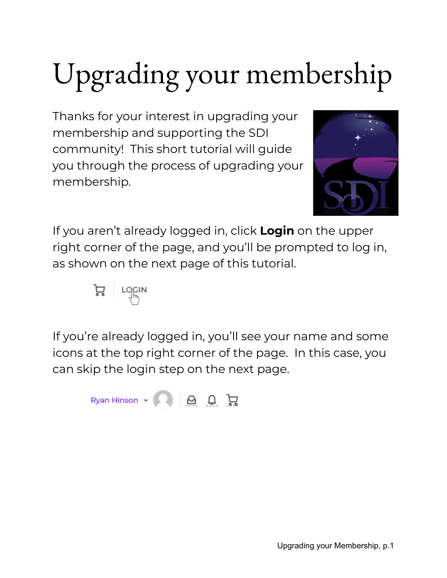# Upgrading your membership

Thanks for your interest in upgrading your membership and supporting the SDI community! This short tutorial will guide you through the process of upgrading your membership.



If you aren't already logged in, click **Login** on the upper right corner of the page, and you'll be prompted to log in, as shown on the next page of this tutorial.



If you're already logged in, you'll see your name and some icons at the top right corner of the page. In this case, you can skip the login step on the next page.

Ryan Hinson  $\sim$   $\bigcirc$   $\bigcirc$   $\bigcirc$   $\bigcirc$   $\bigcirc$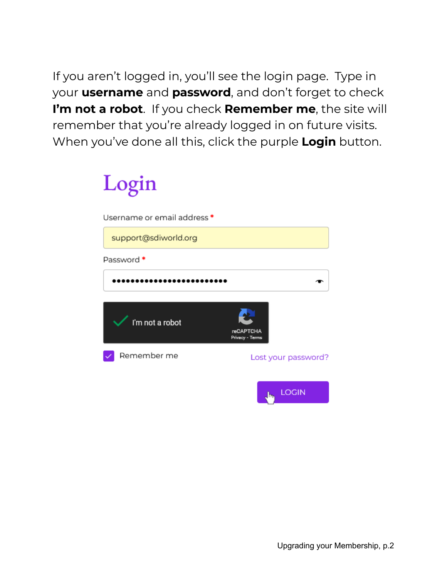If you aren't logged in, you'll see the login page. Type in your **username** and **password**, and don't forget to check **I'm not a robot**. If you check **Remember me**, the site will remember that you're already logged in on future visits. When you've done all this, click the purple **Login** button.

## Login

| Username or email address * |                                     |
|-----------------------------|-------------------------------------|
| support@sdiworld.org        |                                     |
| Password *                  |                                     |
|                             |                                     |
|                             |                                     |
| I'm not a robot             | <b>reCAPTCHA</b><br>Privacy - Terms |
| Remember me                 | Lost your password?                 |
|                             | LOGIN<br>ەلل                        |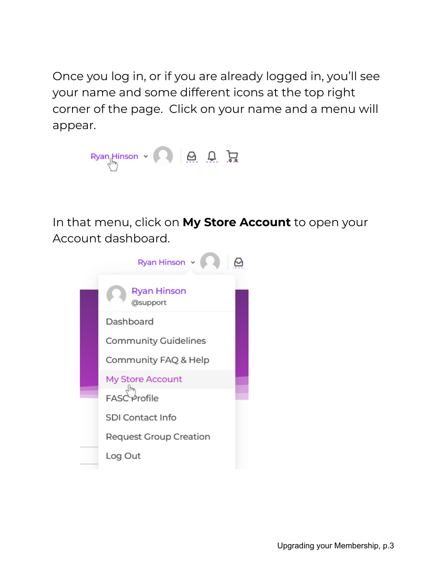Once you log in, or if you are already logged in, you'll see your name and some different icons at the top right corner of the page. Click on your name and a menu will appear.



In that menu, click on **My Store Account** to open your Account dashboard.

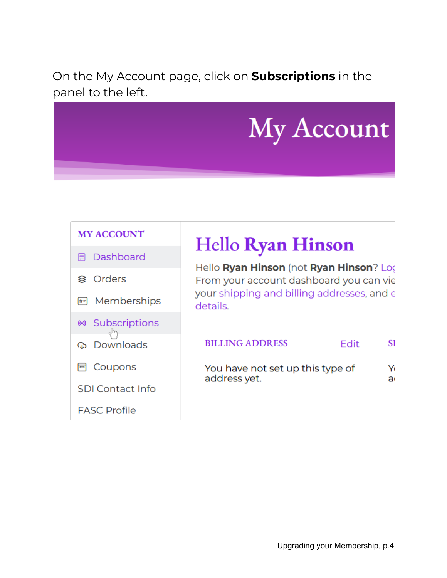On the My Account page, click on **Subscriptions** in the panel to the left.

# My Account

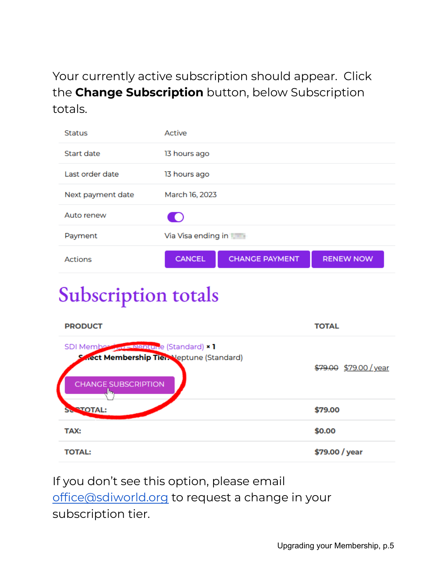Your currently active subscription should appear. Click the **Change Subscription** button, below Subscription totals.

| <b>Status</b>     | Active             |                       |                  |  |
|-------------------|--------------------|-----------------------|------------------|--|
| Start date        | 13 hours ago       |                       |                  |  |
| Last order date   | 13 hours ago       |                       |                  |  |
| Next payment date | March 16, 2023     |                       |                  |  |
| Auto renew        | $\blacksquare$     |                       |                  |  |
| Payment           | Via Visa ending in |                       |                  |  |
| <b>Actions</b>    | <b>CANCEL</b>      | <b>CHANGE PAYMENT</b> | <b>RENEW NOW</b> |  |

## **Subscription totals**

| <b>PRODUCT</b>                                                                                                                   | <b>TOTAL</b>           |
|----------------------------------------------------------------------------------------------------------------------------------|------------------------|
| SDI Members and Manual e (Standard) × 1<br><b>Rect Membership Tier.</b> Jeptune (Standard)<br><b>CHANGE SUBSCRIPTION</b><br>lin. | \$79.00 \$79.00 / year |
| <b>STOTAL:</b><br>SL                                                                                                             | \$79.00                |
| TAX:                                                                                                                             | \$0.00                 |
| <b>TOTAL:</b>                                                                                                                    | \$79.00 / year         |

If you don't see this option, please email [office@sdiworld.org](mailto:office@sdiworld.org) to request a change in your subscription tier.